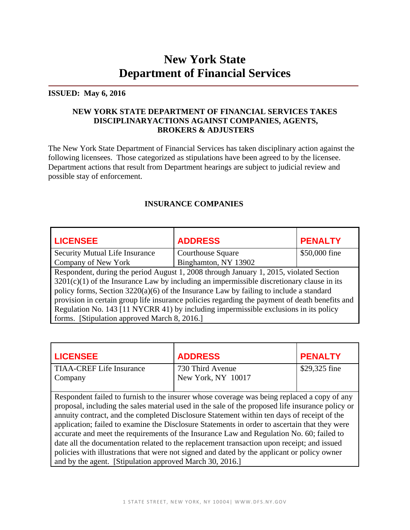# **New York State Department of Financial Services**

#### **ISSUED: May 6, 2016**

#### **NEW YORK STATE DEPARTMENT OF FINANCIAL SERVICES TAKES DISCIPLINARYACTIONS AGAINST COMPANIES, AGENTS, BROKERS & ADJUSTERS**

The New York State Department of Financial Services has taken disciplinary action against the following licensees. Those categorized as stipulations have been agreed to by the licensee. Department actions that result from Department hearings are subject to judicial review and possible stay of enforcement.

#### **INSURANCE COMPANIES**

| <b>LICENSEE</b>                                                                                | <b>ADDRESS</b>           | <b>PENALTY</b> |
|------------------------------------------------------------------------------------------------|--------------------------|----------------|
| <b>Security Mutual Life Insurance</b>                                                          | <b>Courthouse Square</b> | \$50,000 fine  |
| Company of New York                                                                            | Binghamton, NY 13902     |                |
| Respondent, during the period August 1, 2008 through January 1, 2015, violated Section         |                          |                |
| $3201(c)(1)$ of the Insurance Law by including an impermissible discretionary clause in its    |                          |                |
| policy forms, Section $3220(a)(6)$ of the Insurance Law by failing to include a standard       |                          |                |
| provision in certain group life insurance policies regarding the payment of death benefits and |                          |                |
| Regulation No. 143 [11 NYCRR 41) by including impermissible exclusions in its policy           |                          |                |
| forms. [Stipulation approved March 8, 2016.]                                                   |                          |                |

| <b>LICENSEE</b>                                          | <b>ADDRESS</b>                                                                                                                                                                                                                                                                                                                                                                                                                                                                                                                                                                                                                                                                          | <b>PENALTY</b> |
|----------------------------------------------------------|-----------------------------------------------------------------------------------------------------------------------------------------------------------------------------------------------------------------------------------------------------------------------------------------------------------------------------------------------------------------------------------------------------------------------------------------------------------------------------------------------------------------------------------------------------------------------------------------------------------------------------------------------------------------------------------------|----------------|
| <b>TIAA-CREF Life Insurance</b>                          | 730 Third Avenue                                                                                                                                                                                                                                                                                                                                                                                                                                                                                                                                                                                                                                                                        | \$29,325 fine  |
| Company                                                  | New York, NY 10017                                                                                                                                                                                                                                                                                                                                                                                                                                                                                                                                                                                                                                                                      |                |
| and by the agent. [Stipulation approved March 30, 2016.] | Respondent failed to furnish to the insurer whose coverage was being replaced a copy of any<br>proposal, including the sales material used in the sale of the proposed life insurance policy or<br>annuity contract, and the completed Disclosure Statement within ten days of receipt of the<br>application; failed to examine the Disclosure Statements in order to ascertain that they were<br>accurate and meet the requirements of the Insurance Law and Regulation No. 60; failed to<br>date all the documentation related to the replacement transaction upon receipt; and issued<br>policies with illustrations that were not signed and dated by the applicant or policy owner |                |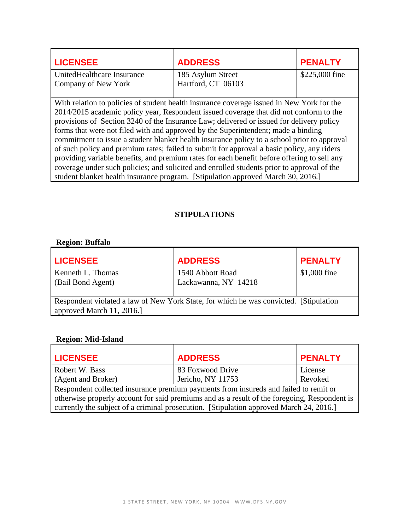| <b>LICENSEE</b>                                                                                                                                                                     | <b>ADDRESS</b>     | <b>PENALTY</b> |
|-------------------------------------------------------------------------------------------------------------------------------------------------------------------------------------|--------------------|----------------|
| UnitedHealthcare Insurance                                                                                                                                                          | 185 Asylum Street  | \$225,000 fine |
| Company of New York                                                                                                                                                                 | Hartford, CT 06103 |                |
| With relation to policies of student health insurance coverage issued in New York for the<br>2014/2015 academic policy year, Respondent issued coverage that did not conform to the |                    |                |
| provisions of Section 3240 of the Insurance Law; delivered or issued for delivery policy                                                                                            |                    |                |

forms that were not filed with and approved by the Superintendent; made a binding commitment to issue a student blanket health insurance policy to a school prior to approval of such policy and premium rates; failed to submit for approval a basic policy, any riders providing variable benefits, and premium rates for each benefit before offering to sell any coverage under such policies; and solicited and enrolled students prior to approval of the student blanket health insurance program. [Stipulation approved March 30, 2016.]

#### **STIPULATIONS**

#### **Region: Buffalo**

| <b>LICENSEE</b>                                                                                                    | <b>ADDRESS</b>       | <b>PENALTY</b> |
|--------------------------------------------------------------------------------------------------------------------|----------------------|----------------|
| Kenneth L. Thomas                                                                                                  | 1540 Abbott Road     | \$1,000 fine   |
| (Bail Bond Agent)                                                                                                  | Lackawanna, NY 14218 |                |
| Respondent violated a law of New York State, for which he was convicted. [Stipulation]<br>approved March 11, 2016. |                      |                |

#### **Region: Mid-Island**

| <b>LICENSEE</b>                                                                              | <b>ADDRESS</b>                                                                          | <b>PENALTY</b> |
|----------------------------------------------------------------------------------------------|-----------------------------------------------------------------------------------------|----------------|
| Robert W. Bass                                                                               | 83 Foxwood Drive                                                                        | License        |
| (Agent and Broker)                                                                           | Jericho, NY 11753                                                                       | Revoked        |
| Respondent collected insurance premium payments from insureds and failed to remit or         |                                                                                         |                |
| otherwise properly account for said premiums and as a result of the foregoing, Respondent is |                                                                                         |                |
|                                                                                              | currently the subject of a criminal prosecution. [Stipulation approved March 24, 2016.] |                |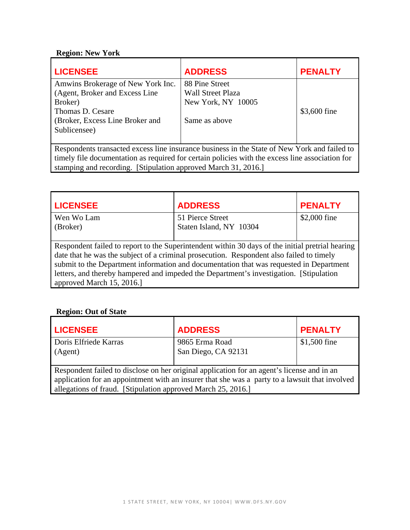### **Region: New York**

| <b>LICENSEE</b>                                                                                                                                                                                                                                                   | <b>ADDRESS</b>                                                                    | <b>PENALTY</b> |
|-------------------------------------------------------------------------------------------------------------------------------------------------------------------------------------------------------------------------------------------------------------------|-----------------------------------------------------------------------------------|----------------|
| Amwins Brokerage of New York Inc.<br>(Agent, Broker and Excess Line)<br>Broker)<br>Thomas D. Cesare<br>(Broker, Excess Line Broker and<br>Sublicensee)                                                                                                            | 88 Pine Street<br><b>Wall Street Plaza</b><br>New York, NY 10005<br>Same as above | \$3,600 fine   |
| Respondents transacted excess line insurance business in the State of New York and failed to<br>timely file documentation as required for certain policies with the excess line association for<br>stamping and recording. [Stipulation approved March 31, 2016.] |                                                                                   |                |

| <b>LICENSEE</b>                                                                         | <b>ADDRESS</b>                                                                                   | <b>PENALTY</b> |
|-----------------------------------------------------------------------------------------|--------------------------------------------------------------------------------------------------|----------------|
| Wen Wo Lam                                                                              | 51 Pierce Street                                                                                 | \$2,000 fine   |
| (Broker)                                                                                | Staten Island, NY 10304                                                                          |                |
|                                                                                         |                                                                                                  |                |
|                                                                                         | Respondent failed to report to the Superintendent within 30 days of the initial pretrial hearing |                |
|                                                                                         | date that he was the subject of a criminal prosecution. Respondent also failed to timely         |                |
| submit to the Department information and documentation that was requested in Department |                                                                                                  |                |
| letters, and thereby hampered and impeded the Department's investigation. [Stipulation] |                                                                                                  |                |
| approved March 15, 2016.                                                                |                                                                                                  |                |

## **Region: Out of State**

| <b>LICENSEE</b>                                                                                                                                                                                                                                              | <b>ADDRESS</b>      | <b>PENALTY</b> |
|--------------------------------------------------------------------------------------------------------------------------------------------------------------------------------------------------------------------------------------------------------------|---------------------|----------------|
| Doris Elfriede Karras                                                                                                                                                                                                                                        | 9865 Erma Road      | $$1,500$ fine  |
| (Agent)                                                                                                                                                                                                                                                      | San Diego, CA 92131 |                |
| Respondent failed to disclose on her original application for an agent's license and in an<br>application for an appointment with an insurer that she was a party to a lawsuit that involved<br>allegations of fraud. [Stipulation approved March 25, 2016.] |                     |                |